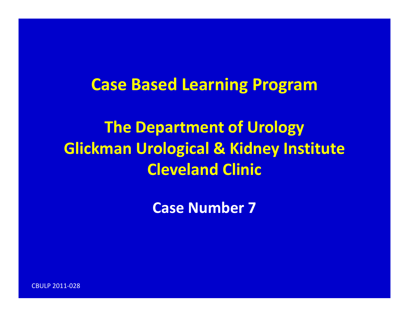### **Case Based Learning Program**

**The Department of Urology Glickman Urological & Kidney Institute Cleveland Clinic**

**Case Number 7**

CBULP 2011‐028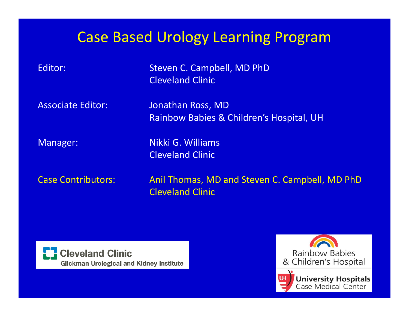### Case Based Urology Learning Program

 Steven C. Campbell, MD PhD Cleveland Clinic **Associate Editor:** 

 Editor: Jonathan Ross, MD Rainbow Babies & Children's Hospital, UH

Editor:

Manager: Nikki G. Williams Cleveland Clinic

**Case Contributors:** 

Anil Thomas, MD and Steven C. Campbell, MD PhD Cleveland Clinic



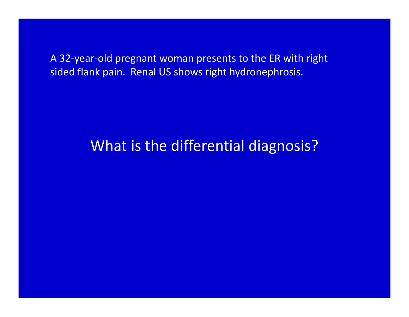A 32‐year‐old pregnant woman presents to the ER with right sided flank pain. Renal US shows right hydronephrosis.

#### What is the differential diagnosis?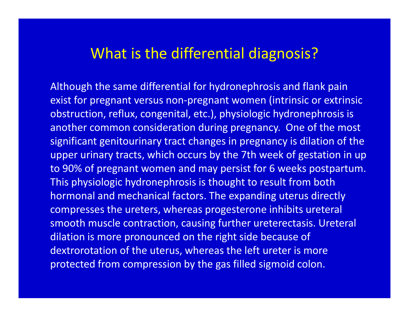#### What is the differential diagnosis?

Although the same differential for hydronephrosis and flank pain exist for pregnant versus non‐pregnant women (intrinsic or extrinsic obstruction, reflux, congenital, etc.), physiologic hydronephrosis is another common consideration during pregnancy. One of the most significant genitourinary tract changes in pregnancy is dilation of the upper urinary tracts, which occurs by the 7th week of gestation in up to 90% of pregnant women and may persist for 6 weeks postpartum. This physiologic hydronephrosis is thought to result from both hormonal and mechanical factors. The expanding uterus directly compresses the ureters, whereas progesterone inhibits ureteral smooth muscle contraction, causing further ureterectasis. Ureteral dilation is more pronounced on the right side because of dextrorotation of the uterus, whereas the left ureter is more protected from compression by the gas filled sigmoid colon.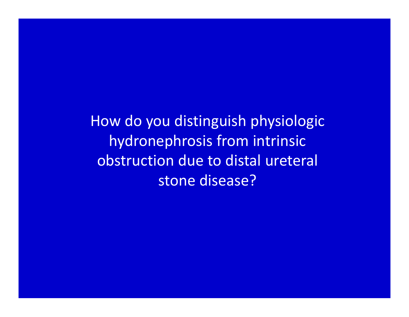How do you distinguish physiologic hydronephrosis from intrinsic obstruction due to distal ureteral stone disease?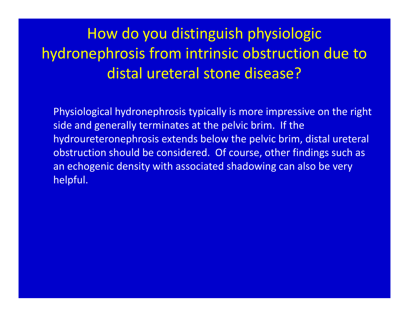How do you distinguish physiologic hydronephrosis from intrinsic obstruction due to distal ureteral stone disease?

Physiological hydronephrosis typically is more impressive on the right side and generally terminates at the pelvic brim. If the hydroureteronephrosis extends below the pelvic brim, distal ureteral obstruction should be considered. Of course, other findings such as an echogenic density with associated shadowing can also be very helpful.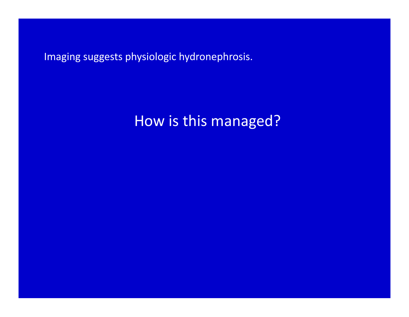Imaging suggests physiologic hydronephrosis.

### How is this managed?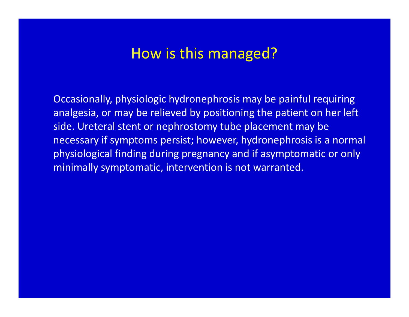#### How is this managed?

Occasionally, physiologic hydronephrosis may be painful requiring analgesia, or may be relieved by positioning the patient on her left side. Ureteral stent or nephrostomy tube placement may be necessary if symptoms persist; however, hydronephrosis is <sup>a</sup> normal physiological finding during pregnancy and if asymptomatic or only minimally symptomatic, intervention is not warranted.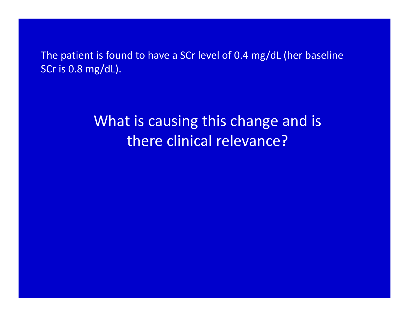The patient is found to have <sup>a</sup> SCr level of 0.4 mg/dL (her baseline SCr is 0.8 mg/dL).

### What is causing this change and is there clinical relevance?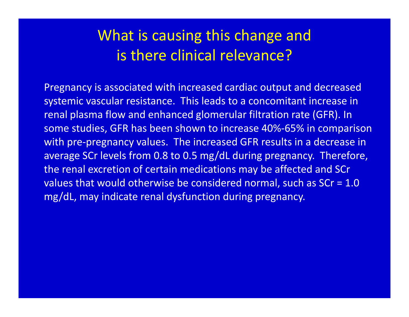### What is causing this change and is there clinical relevance?

Pregnancy is associated with increased cardiac output and decreased systemic vascular resistance. This leads to <sup>a</sup> concomitant increase in renal plasma flow and enhanced glomerular filtration rate (GFR). In some studies, GFR has been shown to increase 40%‐65% in comparison with pre‐pregnancy values. The increased GFR results in <sup>a</sup> decrease in average SCr levels from 0.8 to 0.5 mg/dL during pregnancy. Therefore, the renal excretion of certain medications may be affected and SCr values that would otherwise be considered normal, such as SCr <sup>=</sup> 1.0 mg/dL, may indicate renal dysfunction during pregnancy.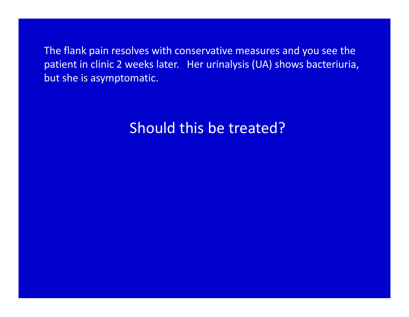The flank pain resolves with conservative measures and you see the patient in clinic 2 weeks later. Her urinalysis (UA) shows bacteriuria, but she is asymptomatic.

# Should this be treated?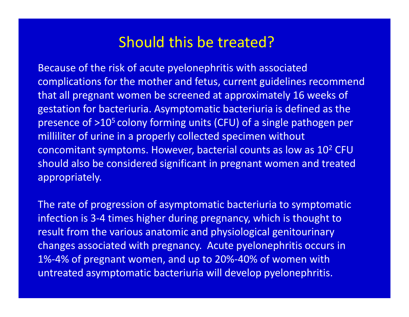#### Should this be treated?

Because of the risk of acute pyelonephritis with associated complications for the mother and fetus, current guidelines recommend that all pregnant women be screened at approximately 16 weeks of gestation for bacteriuria. Asymptomatic bacteriuria is defined as the presence of >10<sup>5</sup> colony forming units (CFU) of a single pathogen per milliliter of urine in <sup>a</sup> properly collected specimen without concomitant symptoms. However, bacterial counts as low as  $10^2$  CFU  $\,$ should also be considered significant in pregnant women and treated appropriately.

The rate of progression of asymptomatic bacteriuria to symptomatic infection is 3‐4 times higher during pregnancy, which is thought to result from the various anatomic and physiological genitourinary changes associated with pregnancy. Acute pyelonephritis occurs in 1%‐4% of pregnant women, and up to 20%‐40% of women with untreated asymptomatic bacteriuria will develop pyelonephritis.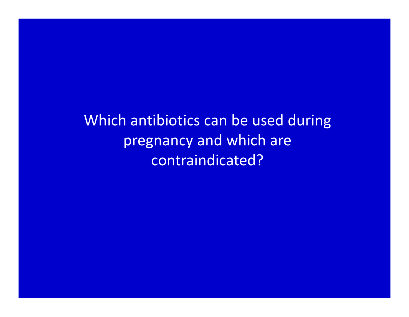Which antibiotics can be used during pregnancy and which are contraindicated?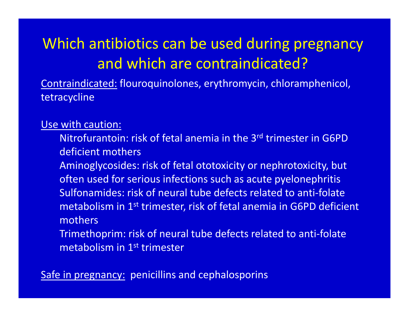# Which antibiotics can be used during pregnancy and which are contraindicated?

Contraindicated: flouroquinolones, erythromycin, chloramphenicol, tetracycline

Use with caution:

Nitrofurantoin: risk of fetal anemia in the 3<sup>rd</sup> trimester in G6PD deficient mothers

Aminoglycosides: risk of fetal ototoxicity or nephrotoxicity, but often used for serious infections such as acute pyelonephritis Sulfonamides: risk of neural tube defects related to anti‐folate metabolism in 1<sup>st</sup> trimester, risk of fetal anemia in G6PD deficient mothers

Trimethoprim: risk of neural tube defects related to anti‐folate metabolism in 1<sup>st</sup> trimester

Safe in pregnancy: penicillins and cephalosporins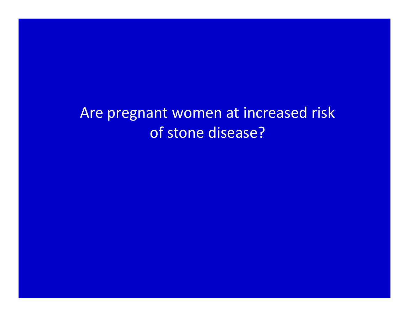Are pregnant women at increased risk of stone disease?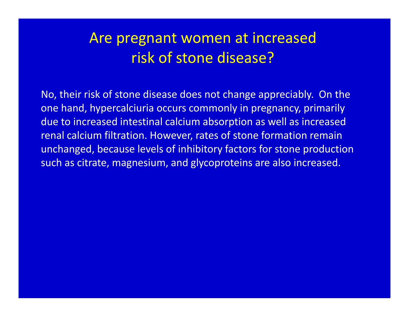## Are pregnant women at increased risk of stone disease?

No, their risk of stone disease does not change appreciably. On the one hand, hypercalciuria occurs commonly in pregnancy, primarily due to increased intestinal calcium absorption as well as increased renal calcium filtration. However, rates of stone formation remain unchanged, because levels of inhibitory factors for stone production such as citrate, magnesium, and glycoproteins are also increased.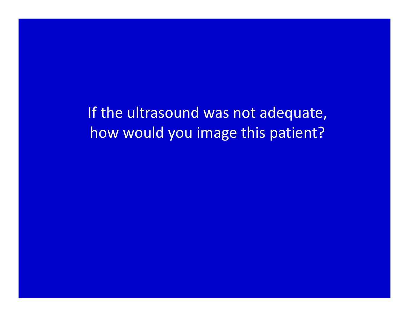If the ultrasound was not adequate, how would you image this patient?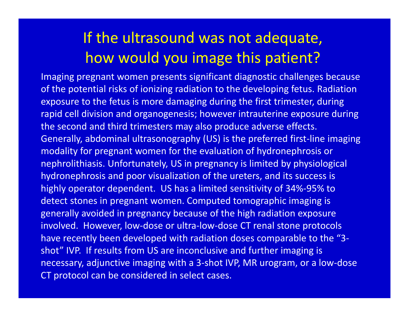## If the ultrasound was not adequate, how would you image this patient?

Imaging pregnant women presents significant diagnostic challenges because of the potential risks of ionizing radiation to the developing fetus. Radiation exposure to the fetus is more damaging during the first trimester, during rapid cell division and organogenesis; however intrauterine exposure during the second and third trimesters may also produce adverse effects. Generally, abdominal ultrasonography (US) is the preferred first‐line imaging modality for pregnant women for the evaluation of hydronephrosis or nephrolithiasis. Unfortunately, US in pregnancy is limited by physiological hydronephrosis and poor visualization of the ureters, and its success is highly operator dependent. US has <sup>a</sup> limited sensitivity of 34%‐95% to detect stones in pregnant women. Computed tomographic imaging is generally avoided in pregnancy because of the high radiation exposure involved. However, low‐dose or ultra‐low‐dose CT renal stone protocols have recently been developed with radiation doses comparable to the "3‐ shot" IVP. If results from US are inconclusive and further imaging is necessary, adjunctive imaging with <sup>a</sup> 3‐shot IVP, MR urogram, or <sup>a</sup> low‐dose CT protocol can be considered in select cases.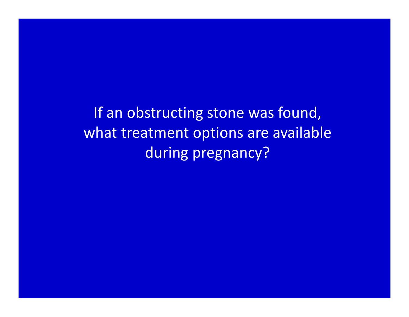If an obstructing stone was found, what treatment options are available during pregnancy?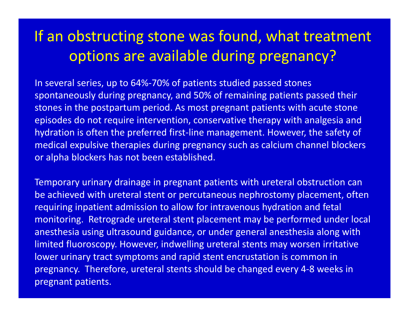## If an obstructing stone was found, what treatment options are available during pregnancy?

In several series, up to 64%‐70% of patients studied passed stones spontaneously during pregnancy, and 50% of remaining patients passed their stones in the postpartum period. As most pregnant patients with acute stone episodes do not require intervention, conservative therapy with analgesia and hydration is often the preferred first‐line management. However, the safety of medical expulsive therapies during pregnancy such as calcium channel blockers or alpha blockers has not been established.

Temporary urinary drainage in pregnant patients with ureteral obstruction can be achieved with ureteral stent or percutaneous nephrostomy placement, often requiring inpatient admission to allow for intravenous hydration and fetal monitoring. Retrograde ureteral stent placement may be performed under local anesthesia using ultrasound guidance, or under general anesthesia along with limited fluoroscopy. However, indwelling ureteral stents may worsen irritative lower urinary tract symptoms and rapid stent encrustation is common in pregnancy. Therefore, ureteral stents should be changed every 4‐8 weeks in pregnant patients.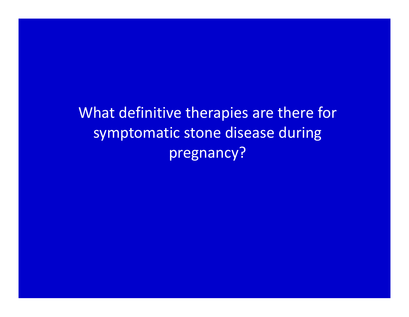What definitive therapies are there for symptomatic stone disease during pregnancy?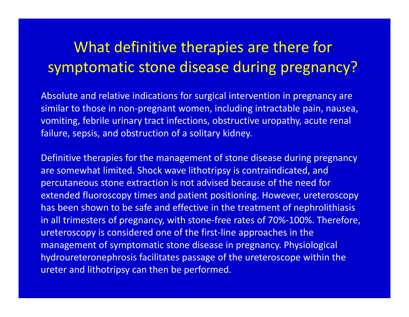# What definitive therapies are there for symptomatic stone disease during pregnancy?

Absolute and relative indications for surgical intervention in pregnancy are similar to those in non‐pregnant women, including intractable pain, nausea, vomiting, febrile urinary tract infections, obstructive uropathy, acute renal failure, sepsis, and obstruction of <sup>a</sup> solitary kidney.

Definitive therapies for the management of stone disease during pregnancy are somewhat limited. Shock wave lithotripsy is contraindicated, and percutaneous stone extraction is not advised because of the need for extended fluoroscopy times and patient positioning. However, ureteroscopy has been shown to be safe and effective in the treatment of nephrolithiasis in all trimesters of pregnancy, with stone‐free rates of 70%‐100%. Therefore, ureteroscopy is considered one of the first‐line approaches in the management of symptomatic stone disease in pregnancy. Physiological hydroureteronephrosis facilitates passage of the ureteroscope within the ureter and lithotripsy can then be performed.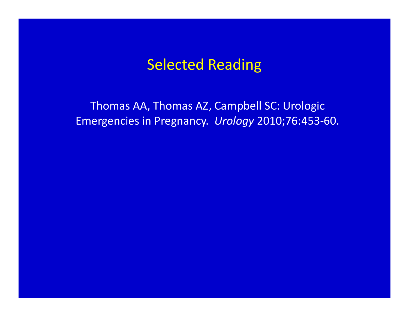#### Selected Reading

Thomas AA, Thomas AZ, Campbell SC: Urologic Emergencies in Pregnancy. *Urology* 2010;76:453‐60.